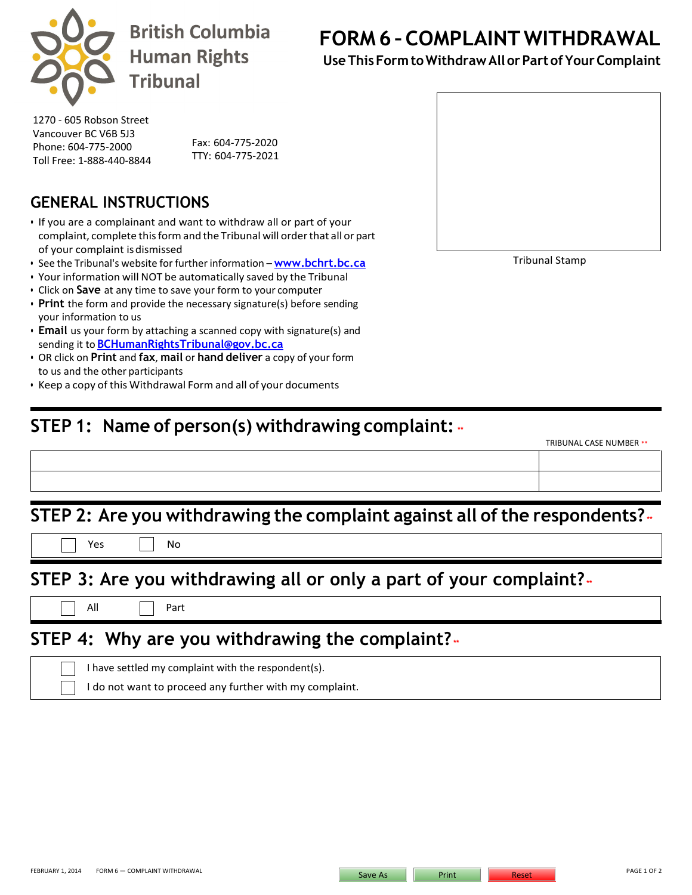

**British Columbia Human Rights Tribunal** 

**FORM 6 – COMPLAINTWITHDRAWAL**

**UseThisFormtoWithdraw All orPartofYourComplaint**

Tribunal Stamp

TRIBUNAL CASE NUMBER \*\*

1270 - 605 Robson Street Vancouver BC V6B 5J3 Phone: 604-775-2000 Toll Free: 1-888-440-8844 TTY: 604-775-2021

Fax: 604-775-2020

### **GENERAL INSTRUCTIONS**

- If you are a complainant and want to withdraw all or part of your complaint, complete this formand the Tribunal will orderthat all or part of your complaint isdismissed
- See the Tribunal's website for further information **[www.bchrt.bc.ca](http://www.bchrt.bc.ca/)**
- Your information will NOT be automatically saved by the Tribunal
- Click on **Save** at any time to save your form to your computer
- **Print** the form and provide the necessary signature(s) before sending your information to us
- **Email** us your form by attaching a scanned copy with signature(s) and sending it to **[BCHumanRightsTribunal@gov.bc.ca](mailto:BCHumanRightsTribunal@gov.bc.ca)**
- OR click on **Print** and **fax**, **mail** or **hand deliver** a copy of your form to us and the other participants
- Keep a copy of this Withdrawal Form and all of your documents

# **STEP 1: Name of person(s) withdrawing complaint: \*\***

| STEP 2: Are you withdrawing the complaint against all of the respondents? |                                                                   |  |  |
|---------------------------------------------------------------------------|-------------------------------------------------------------------|--|--|
| Yes                                                                       | No                                                                |  |  |
|                                                                           |                                                                   |  |  |
|                                                                           | STEP 3: Are you withdrawing all or only a part of your complaint? |  |  |
| All                                                                       | Part                                                              |  |  |

I have settled my complaint with the respondent(s).

I do not want to proceed any further with my complaint.

FEBRUARY 1, 2014 FORM 6 — COMPLAINT WITHDRAWAL PAGE 1 OF 2